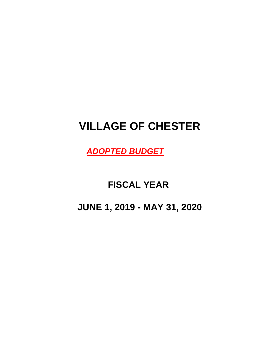# **VILLAGE OF CHESTER**

*ADOPTED BUDGET*

## **FISCAL YEAR**

**JUNE 1, 2019 - MAY 31, 2020**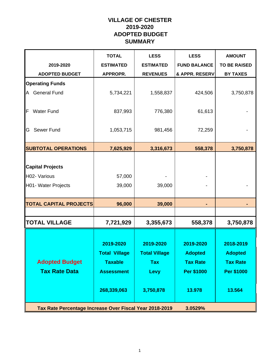### **VILLAGE OF CHESTER 2019-2020 ADOPTED BUDGET SUMMARY**

|                                                                | <b>TOTAL</b>                                                                            | <b>LESS</b>                                                                 | <b>LESS</b>                                                            | <b>AMOUNT</b>                                                          |
|----------------------------------------------------------------|-----------------------------------------------------------------------------------------|-----------------------------------------------------------------------------|------------------------------------------------------------------------|------------------------------------------------------------------------|
| 2019-2020                                                      | <b>ESTIMATED</b>                                                                        | <b>ESTIMATED</b>                                                            | <b>FUND BALANCE</b>                                                    | <b>TO BE RAISED</b>                                                    |
| <b>ADOPTED BUDGET</b>                                          | APPROPR.                                                                                | <b>REVENUES</b>                                                             | & APPR. RESERV                                                         | <b>BY TAXES</b>                                                        |
| <b>Operating Funds</b>                                         |                                                                                         |                                                                             |                                                                        |                                                                        |
| <b>General Fund</b><br>A                                       | 5,734,221                                                                               | 1,558,837                                                                   | 424,506                                                                | 3,750,878                                                              |
| <b>Water Fund</b><br>F                                         | 837,993                                                                                 | 776,380                                                                     | 61,613                                                                 |                                                                        |
| Sewer Fund<br>G                                                | 1,053,715                                                                               | 981,456                                                                     | 72,259                                                                 |                                                                        |
| <b>SUBTOTAL OPERATIONS</b>                                     | 7,625,929                                                                               | 3,316,673                                                                   | 558,378                                                                | 3,750,878                                                              |
| <b>Capital Projects</b><br>H02- Various<br>H01- Water Projects | 57,000<br>39,000                                                                        | 39,000                                                                      |                                                                        |                                                                        |
|                                                                |                                                                                         |                                                                             |                                                                        |                                                                        |
| <b>TOTAL CAPITAL PROJECTS</b>                                  | 96,000                                                                                  | 39,000                                                                      |                                                                        |                                                                        |
| <b>TOTAL VILLAGE</b>                                           | 7,721,929                                                                               | 3,355,673                                                                   | 558,378                                                                | 3,750,878                                                              |
| <b>Adopted Budget</b><br><b>Tax Rate Data</b>                  | 2019-2020<br><b>Total Village</b><br><b>Taxable</b><br><b>Assessment</b><br>268,339,063 | 2019-2020<br><b>Total Village</b><br><b>Tax</b><br><b>Levy</b><br>3,750,878 | 2019-2020<br><b>Adopted</b><br><b>Tax Rate</b><br>Per \$1000<br>13.978 | 2018-2019<br><b>Adopted</b><br><b>Tax Rate</b><br>Per \$1000<br>13.564 |
| Tax Rate Percentage Increase Over Fiscal Year 2018-2019        |                                                                                         |                                                                             | 3.0529%                                                                |                                                                        |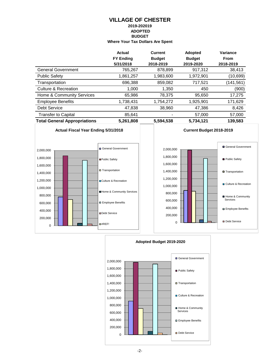#### **VILLAGE OF CHESTER 2019-202019 ADOPTED BUDGET Where Your Tax Dollars Are Spent**

|                                     | <b>Actual</b>    | <b>Current</b> | Adopted       | Variance    |
|-------------------------------------|------------------|----------------|---------------|-------------|
|                                     | <b>FY Ending</b> | <b>Budget</b>  | <b>Budget</b> | <b>From</b> |
|                                     | 5/31/2018        | 2018-2019      | 2019-2020     | 2018-2019   |
| <b>General Government</b>           | 765,267          | 878,899        | 917,312       | 38,413      |
| <b>Public Safety</b>                | 1,861,257        | 1,983,600      | 1,972,901     | (10, 699)   |
| Transportation                      | 696,388          | 859,082        | 717,521       | (141, 561)  |
| Culture & Recreation                | 1,000            | 1,350          | 450           | (900)       |
| Home & Community Services           | 65,986           | 78,375         | 95,650        | 17,275      |
| <b>Employee Benefits</b>            | 1,738,431        | 1,754,272      | 1,925,901     | 171,629     |
| <b>Debt Service</b>                 | 47,838           | 38,960         | 47,386        | 8,426       |
| <b>Transfer to Capital</b>          | 85.641           |                | 57,000        | 57,000      |
| <b>Total General Appropriations</b> | 5,261,808        | 5,594,538      | 5,734,121     | 139,583     |







-2-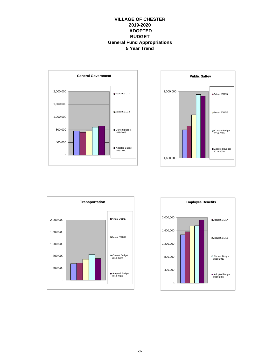#### **VILLAGE OF CHESTER 2019-2020 ADOPTED BUDGET General Fund Appropriations 5 Year Trend**







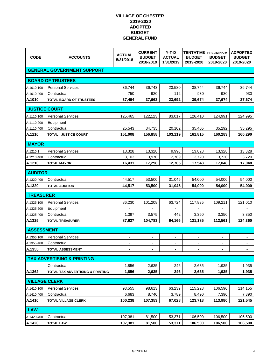| <b>CODE</b>              | <b>ACCOUNTS</b>                       | <b>ACTUAL</b><br>5/31/2018 | <b>CURRENT</b><br><b>BUDGET</b><br>2018-2019 | $Y-T-D$<br><b>ACTUAL</b><br>1/31/2019 | <b>TENTATIVE</b><br><b>BUDGET</b><br>2019-2020 | <b>PRELIMINARY</b><br><b>BUDGET</b><br>2019-2020 | <b>ADPOPTED</b><br><b>BUDGET</b><br>2019-2020 |
|--------------------------|---------------------------------------|----------------------------|----------------------------------------------|---------------------------------------|------------------------------------------------|--------------------------------------------------|-----------------------------------------------|
|                          | <b>GENERAL GOVERNMENT SUPPORT</b>     |                            |                                              |                                       |                                                |                                                  |                                               |
|                          | <b>BOARD OF TRUSTEES</b>              |                            |                                              |                                       |                                                |                                                  |                                               |
| A.1010.100               | <b>Personal Services</b>              | 36,744                     | 36,743                                       | 23,580                                | 38,744                                         | 36,744                                           | 36,744                                        |
| A.1010.400               | Contractual                           | 750                        | 920                                          | 112                                   | 930                                            | 930                                              | 930                                           |
| A.1010                   | <b>TOTAL BOARD OF TRUSTEES</b>        | 37,494                     | 37,663                                       | 23,692                                | 39,674                                         | 37,674                                           | 37,674                                        |
| <b>JUSTICE COURT</b>     |                                       |                            |                                              |                                       |                                                |                                                  |                                               |
|                          |                                       |                            |                                              |                                       |                                                |                                                  |                                               |
| A.1110.100<br>A.1110.200 | <b>Personal Services</b><br>Equipment | 125,465                    | 122,123                                      | 83,017                                | 126,410                                        | 124,991                                          | 124,995                                       |
| A.1110.400               | Contractual                           | 25,543                     | 34,735                                       | 20,102                                | 35,405                                         | 35,292                                           | 35,295                                        |
| A.1110                   | TOTAL JUSTICE COURT                   | 151,008                    | 156,858                                      | 103,119                               | 161,815                                        | 160,283                                          | 160,290                                       |
|                          |                                       |                            |                                              |                                       |                                                |                                                  |                                               |
| <b>MAYOR</b>             |                                       |                            |                                              |                                       |                                                |                                                  |                                               |
| A.1210.1                 | <b>Personal Services</b>              | 13,328                     | 13,328                                       | 9,996                                 | 13,828                                         | 13,328                                           | 13,328                                        |
| A.1210.400               | Contractual                           | 3,103                      | 3,970                                        | 2,769                                 | 3,720                                          | 3,720                                            | 3,720                                         |
| A.1210                   | <b>TOTAL MAYOR</b>                    | 16,431                     | 17,298                                       | 12,765                                | 17,548                                         | 17,048                                           | 17,048                                        |
| <b>AUDITOR</b>           |                                       |                            |                                              |                                       |                                                |                                                  |                                               |
| A.1320.400               | Contractual                           | 44,517                     | 53,500                                       | 31,045                                | 54,000                                         | 54,000                                           | 54,000                                        |
| A.1320                   | <b>TOTAL AUDITOR</b>                  | 44,517                     | 53,500                                       | 31,045                                | 54,000                                         | 54,000                                           | 54,000                                        |
| <b>TREASURER</b>         |                                       |                            |                                              |                                       |                                                |                                                  |                                               |
| A.1325.100               | <b>Personal Services</b>              | 86,230                     | 101,208                                      | 63,724                                | 117,835                                        | 109,211                                          | 121,010                                       |
| A.1325.200               | Equipment                             |                            |                                              |                                       |                                                |                                                  |                                               |
| A.1325.400               | Contractual                           | 1,397                      | 3,575                                        | 442                                   | 3,350                                          | 3,350                                            | 3,350                                         |
| A.1325                   | <b>TOTAL TREASURER</b>                | 87,627                     | 104,783                                      | 64,166                                | 121,185                                        | 112,561                                          | 124,360                                       |
| <b>ASSESSMENT</b>        |                                       |                            |                                              |                                       |                                                |                                                  |                                               |
| A.1355.100               | <b>Personal Services</b>              | -                          | $\overline{\phantom{a}}$                     | $\blacksquare$                        |                                                | $\overline{\phantom{a}}$                         |                                               |
| A.1355.400               | Contractual                           | $\overline{\phantom{a}}$   | $\overline{\phantom{a}}$                     | $\blacksquare$                        | $\overline{\phantom{a}}$                       | $\overline{\phantom{a}}$                         | $\blacksquare$                                |
| A.1355                   | <b>TOTAL ASSESSMENT</b>               | ۰                          | ۰                                            | $\blacksquare$                        | $\blacksquare$                                 |                                                  |                                               |
|                          | <b>TAX ADVERTISING &amp; PRINTING</b> |                            |                                              |                                       |                                                |                                                  |                                               |
|                          | Contractual                           | 1,856                      | 2,635                                        | 246                                   | 2,635                                          | 1,935                                            | 1,935                                         |
| A.1362                   | TOTAL TAX ADVERTISING & PRINTING      | 1,856                      | 2,635                                        | 246                                   | 2,635                                          | 1,935                                            | 1,935                                         |
|                          |                                       |                            |                                              |                                       |                                                |                                                  |                                               |
| <b>VILLAGE CLERK</b>     |                                       |                            |                                              |                                       |                                                |                                                  |                                               |
| A.1410.100               | <b>Personal Services</b>              | 93,555                     | 98,613                                       | 63,239                                | 115,228                                        | 106,590                                          | 114,155                                       |
| A.1410.400               | Contractual                           | 6,683                      | 8,740                                        | 3,789                                 | 8,490                                          | 7,390                                            | 7,390                                         |
| A.1410                   | <b>TOTAL VILLAGE CLERK</b>            | 100,238                    | 107,353                                      | 67,028                                | 123,718                                        | 113,980                                          | 121,545                                       |
| <b>LAW</b>               |                                       |                            |                                              |                                       |                                                |                                                  |                                               |
| A.1420.400               | Contractual                           | 107,381                    | 81,500                                       | 53,371                                | 106,500                                        | 106,500                                          | 106,500                                       |
| A.1420                   | <b>TOTAL LAW</b>                      | 107,381                    | 81,500                                       | 53,371                                | 106,500                                        | 106,500                                          | 106,500                                       |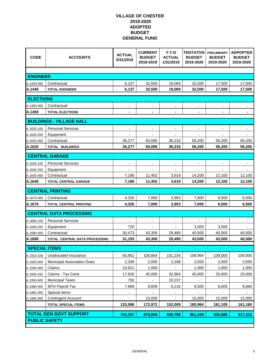| <b>CODE</b>              | <b>ACCOUNTS</b>                   | <b>ACTUAL</b><br>5/31/2018 | <b>CURRENT</b><br><b>BUDGET</b><br>2018-2019 | $Y-T-D$<br><b>ACTUAL</b><br>1/31/2019 | TENTATIVE<br><b>BUDGET</b><br>2019-2020 | <b>PRELIMINARY</b><br><b>BUDGET</b><br>2019-2020 | <b>ADPOPTED</b><br><b>BUDGET</b><br>2019-2020 |  |
|--------------------------|-----------------------------------|----------------------------|----------------------------------------------|---------------------------------------|-----------------------------------------|--------------------------------------------------|-----------------------------------------------|--|
|                          |                                   |                            |                                              |                                       |                                         |                                                  |                                               |  |
| <b>ENGINEER</b>          |                                   |                            |                                              |                                       |                                         |                                                  |                                               |  |
| A.1440.400               | Contractual                       | 6,137                      | 32,500                                       | 19,069                                | 32,500                                  | 17,500                                           | 17,500                                        |  |
| A.1440                   | <b>TOTAL ENGINEER</b>             | 6,137                      | 32,500                                       | 19,069                                | 32,500                                  | 17,500                                           | 17,500                                        |  |
| <b>ELECTIONS</b>         |                                   |                            |                                              |                                       |                                         |                                                  |                                               |  |
| A.1450.400               | Contractual                       | $\overline{\phantom{a}}$   | $\blacksquare$                               | $\blacksquare$                        | $\blacksquare$                          | $\blacksquare$                                   | $\overline{\phantom{a}}$                      |  |
| A.1450                   | <b>TOTAL ELECTIONS</b>            |                            |                                              | $\blacksquare$                        |                                         |                                                  |                                               |  |
|                          | <b>BUILDINGS - VILLAGE HALL</b>   |                            |                                              |                                       |                                         |                                                  |                                               |  |
|                          |                                   |                            |                                              |                                       |                                         |                                                  |                                               |  |
| A.1620.100               | <b>Personal Services</b>          |                            |                                              |                                       |                                         |                                                  |                                               |  |
| A.1620.200<br>A.1620.400 | Equipment<br>Contractual          | 36,277                     | 50,085                                       | 36,216                                | 56,200                                  | 56,200                                           | 56,200                                        |  |
| A.1620                   | <b>TOTAL BUILDINGS</b>            | 36,277                     | 50,085                                       | 36,216                                | 56,200                                  | 56,200                                           | 56,200                                        |  |
|                          |                                   |                            |                                              |                                       |                                         |                                                  |                                               |  |
|                          | <b>CENTRAL GARAGE</b>             |                            |                                              |                                       |                                         |                                                  |                                               |  |
| A.1640.100               | <b>Personal Services</b>          | -                          | $\blacksquare$                               | $\blacksquare$                        | $\overline{\phantom{a}}$                | $\blacksquare$                                   | $\qquad \qquad \blacksquare$                  |  |
| A.1640.200               | Equipment                         |                            |                                              |                                       |                                         |                                                  |                                               |  |
| A.1640.400               | Contractual                       | 7,186                      | 11,452                                       | 3,619                                 | 14,200                                  | 12,100                                           | 12,100                                        |  |
| A.1640                   | <b>TOTAL CENTRAL GARAGE</b>       | 7,186                      | 11,452                                       | 3,619                                 | 14,200                                  | 12,100                                           | 12,100                                        |  |
|                          | <b>CENTRAL PRINTING</b>           |                            |                                              |                                       |                                         |                                                  |                                               |  |
| A.1670.400               | Contractual                       | 4,326                      | 7,000                                        | 3,953                                 | 7,000                                   | 6,500                                            | 6,500                                         |  |
| A.1670                   | <b>TOTAL CENTRAL PRINTING</b>     | 4,326                      | 7,000                                        | 3,953                                 | 7,000                                   | 6,500                                            | 6,500                                         |  |
|                          | <b>CENTRAL DATA PROCESSING</b>    |                            |                                              |                                       |                                         |                                                  |                                               |  |
| A.1680.100               | <b>Personal Services</b>          |                            | $\overline{\phantom{a}}$                     | $\blacksquare$                        |                                         |                                                  | $\overline{\phantom{a}}$                      |  |
| A.1680.200               | Equipment                         | 720                        |                                              | $\overline{a}$                        | 3,000                                   | 3,000                                            |                                               |  |
| A.1680.400               | Contractual                       | 30,473                     | 43,300                                       | 29,490                                | 40,500                                  | 40,500                                           | 40,500                                        |  |
| A.1680                   | TOTAL CENTRAL DATA PROCESSING     | 31,193                     | 43,300                                       | 29,490                                | 43,500                                  | 43,500                                           | 40,500                                        |  |
| <b>SPECIAL ITEMS</b>     |                                   |                            |                                              |                                       |                                         |                                                  |                                               |  |
| A.1910.428               | Unallocated Insurance             | 93,951                     | 100,864                                      | 101,234                               | 108,964                                 | 109,000                                          | 109,000                                       |  |
| A.1920.400               | <b>Municipal Association Dues</b> | 2,338                      | 2,500                                        | 2,338                                 | 2,500                                   | 2,500                                            | 2,500                                         |  |
| A.1930.400               | Claims                            | 10,621                     | 1,000                                        | $\overline{\phantom{a}}$              | 1,000                                   | 1,000                                            | 1,000                                         |  |
| A.1930.432               | Claims - Tax Certs                | 17,926                     | 45,000                                       | 32,984                                | 45,000                                  | 25,000                                           | 25,000                                        |  |
| A.1950.400               | <b>Municipal Taxes</b>            | 792                        |                                              | 10,237                                |                                         |                                                  |                                               |  |
| A.1980.400               | MTA Payroll Tax                   | 7,968                      | 8,608                                        | 5,216                                 | 8,500                                   | 8,605                                            | 8,660                                         |  |
| A.1982.400               | Special items                     | $\overline{\phantom{a}}$   |                                              | $\overline{\phantom{a}}$              |                                         |                                                  |                                               |  |
| A.1990.400               | <b>Contingent Account</b>         |                            | 15,000                                       | $\overline{\phantom{0}}$              | 15,000                                  | 15,000                                           | 15,000                                        |  |
|                          | <b>TOTAL SPECIAL ITEMS</b>        | 133,596                    | 172,972                                      | 152,009                               | 180,964                                 | 161,105                                          | 161,160                                       |  |
|                          | <b>TOTAL GEN GOVT SUPPORT</b>     | 765,267                    | 878,899                                      | 599,788                               | 961,439                                 | 900,886                                          | 917,312                                       |  |
| <b>PUBLIC SAFETY</b>     |                                   |                            |                                              |                                       |                                         |                                                  |                                               |  |
|                          |                                   |                            |                                              |                                       |                                         |                                                  |                                               |  |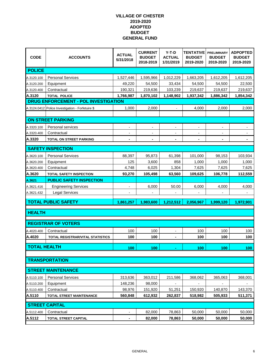| <b>CODE</b>         | <b>ACCOUNTS</b>                                  | <b>ACTUAL</b><br>5/31/2018 | <b>CURRENT</b><br><b>BUDGET</b><br>2018-2019 | $Y-T-D$<br><b>ACTUAL</b><br>1/31/2019 | TENTATIVE<br><b>BUDGET</b><br>2019-2020 | <b>PRELIMINARY</b><br><b>BUDGET</b><br>2019-2020 | <b>ADPOPTED</b><br><b>BUDGET</b><br>2019-2020 |
|---------------------|--------------------------------------------------|----------------------------|----------------------------------------------|---------------------------------------|-----------------------------------------|--------------------------------------------------|-----------------------------------------------|
| <b>POLICE</b>       |                                                  |                            |                                              |                                       |                                         |                                                  |                                               |
| A.3120.100          | <b>Personal Services</b>                         | 1,527,446                  | 1,595,966                                    | 1,012,229                             | 1,663,205                               | 1,612,205                                        | 1,612,205                                     |
| A.3120.200          | Equipment                                        | 49,220                     | 54,500                                       | 33,434                                | 54,500                                  | 54,500                                           | 22,500                                        |
| A.3120.400          | Contractual                                      | 190,321                    | 219,636                                      | 103,239                               | 219,637                                 | 219,637                                          | 219,637                                       |
| A.3120              | <b>TOTAL POLICE</b>                              | 1,766,987                  | 1,870,102                                    | 1,148,902                             | 1,937,342                               | 1,886,342                                        | 1,854,342                                     |
|                     | DRUG ENFORCEMENT - POL INVESTIGATION             |                            |                                              |                                       |                                         |                                                  |                                               |
|                     | A.3124.0412 Police Investigation - Forfetuire \$ | 1,000                      | 2,000                                        | $\overline{\phantom{a}}$              | 4,000                                   | 2,000                                            | 2,000                                         |
|                     |                                                  |                            |                                              |                                       |                                         |                                                  |                                               |
|                     | <b>ON STREET PARKING</b>                         |                            |                                              |                                       |                                         |                                                  |                                               |
| A.3320.100          | Personal services                                | -                          | $\overline{a}$                               | $\overline{\phantom{a}}$              |                                         | $\overline{a}$                                   |                                               |
| A.3320.400          | Contractual                                      |                            |                                              |                                       |                                         |                                                  |                                               |
| A.3320              | TOTAL ON STREET PARKING                          | $\blacksquare$             | $\blacksquare$                               | $\blacksquare$                        | $\blacksquare$                          | $\blacksquare$                                   | ٠                                             |
|                     | <b>SAFETY INSPECTION</b>                         |                            |                                              |                                       |                                         |                                                  |                                               |
| A.3620.100          | <b>Personal Services</b>                         | 88,397                     | 95,873                                       | 61,398                                | 101,000                                 | 98,153                                           | 103,934                                       |
| A.3620.200          | Equipment                                        | 125                        | 3,600                                        | 858                                   | 1,000                                   | 1,000                                            | 1,000                                         |
| A.3620.400          | Contractual                                      | 4,748                      | 6,025                                        | 1,304                                 | 7,625                                   | 7,625                                            | 7,625                                         |
| A.3620              | <b>TOTAL SAFETY INSPECTION</b>                   | 93,270                     | 105,498                                      | 63,560                                | 109,625                                 | 106,778                                          | 112,559                                       |
| A.3621              | <b>PUBLIC SAFETY INSPECTION</b>                  |                            |                                              |                                       |                                         |                                                  |                                               |
| A.3621.416          | <b>Engineering Services</b>                      |                            | 6,000                                        | 50.00                                 | 6,000                                   | 4,000                                            | 4,000                                         |
| A.3621.432          | <b>Legal Services</b>                            |                            |                                              |                                       |                                         |                                                  |                                               |
|                     | <b>TOTAL PUBLIC SAFETY</b>                       | 1,861,257                  | 1,983,600                                    | 1,212,512                             | 2,056,967                               | 1,999,120                                        | 1,972,901                                     |
|                     |                                                  |                            |                                              |                                       |                                         |                                                  |                                               |
| <b>HEALTH</b>       |                                                  |                            |                                              |                                       |                                         |                                                  |                                               |
|                     | <b>REGISTRAR OF VOTERS</b>                       |                            |                                              |                                       |                                         |                                                  |                                               |
| A.4020.400          | Contractual                                      | 100                        | 100                                          |                                       | 100                                     | 100                                              | 100                                           |
| A.4020              | TOTAL REGISTRAR/VITAL STATISTICS                 | 100                        | 100                                          |                                       | 100                                     | 100                                              | 100                                           |
|                     |                                                  |                            |                                              |                                       |                                         |                                                  |                                               |
| <b>TOTAL HEALTH</b> |                                                  | 100                        | 100                                          |                                       | 100                                     | 100                                              | 100                                           |
|                     |                                                  |                            |                                              |                                       |                                         |                                                  |                                               |
|                     | <b>TRANSPORTATION</b>                            |                            |                                              |                                       |                                         |                                                  |                                               |
|                     | <b>STREET MAINTENANCE</b>                        |                            |                                              |                                       |                                         |                                                  |                                               |
| A.5110.100          | <b>Personal Services</b>                         | 313,636                    | 363,012                                      | 211,586                               | 368,062                                 | 365,063                                          | 368,001                                       |
| A.5110.200          | Equipment                                        | 148,236                    | 98,000                                       |                                       |                                         |                                                  |                                               |
| A.5110.400          | Contractual                                      | 98,976                     | 151,920                                      | 51,251                                | 150,920                                 | 140,870                                          | 143,370                                       |
| A.5110              | <b>TOTAL STREET MAINTENANCE</b>                  | 560,848                    | 612,932                                      | 262,837                               | 518,982                                 | 505,933                                          | 511,371                                       |
|                     | <b>STREET CAPITAL</b>                            |                            |                                              |                                       |                                         |                                                  |                                               |
|                     |                                                  |                            |                                              |                                       |                                         |                                                  |                                               |
| A.5112.400          | Contractual                                      | -                          | 82,000                                       | 78,863                                | 50,000                                  | 50,000                                           | 50,000                                        |
| A.5112              | <b>TOTAL STREET CAPITAL</b>                      |                            | 82,000                                       | 78,863                                | 50,000                                  | 50,000                                           | 50,000                                        |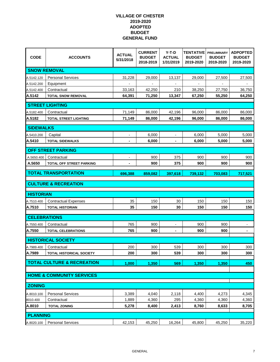| <b>CODE</b>          | <b>ACCOUNTS</b>                       | <b>ACTUAL</b><br>5/31/2018 | <b>CURRENT</b><br><b>BUDGET</b><br>2018-2019 | $Y-T-D$<br><b>ACTUAL</b><br>1/31/2019 | <b>TENTATIVE</b><br><b>BUDGET</b><br>2019-2020 | <b>PRELIMINARY</b><br><b>BUDGET</b><br>2019-2020 | <b>ADPOPTED</b><br><b>BUDGET</b><br>2019-2020 |
|----------------------|---------------------------------------|----------------------------|----------------------------------------------|---------------------------------------|------------------------------------------------|--------------------------------------------------|-----------------------------------------------|
|                      | <b>SNOW REMOVAL</b>                   |                            |                                              |                                       |                                                |                                                  |                                               |
| A.5142.120           | <b>Personal Services</b>              | 31,228                     | 29,000                                       | 13,137                                | 29,000                                         | 27,500                                           | 27,500                                        |
| A.5142.200           | Equipment                             |                            |                                              |                                       |                                                |                                                  |                                               |
| A.5142.400           | Contractual                           | 33,163                     | 42,250                                       | 210                                   | 38,250                                         | 27,750                                           | 36,750                                        |
| A.5142               | <b>TOTAL SNOW REMOVAL</b>             | 64,391                     | 71,250                                       | 13,347                                | 67,250                                         | 55,250                                           | 64,250                                        |
|                      | <b>STREET LIGHTING</b>                |                            |                                              |                                       |                                                |                                                  |                                               |
| A.5182.400           | Contractual                           | 71,149                     | 86,000                                       | 42,196                                | 96,000                                         | 86,000                                           | 86,000                                        |
| A.5182               | <b>TOTAL STREET LIGHTING</b>          | 71,149                     | 86,000                                       | 42,196                                | 96,000                                         | 86,000                                           | 86,000                                        |
| <b>SIDEWALKS</b>     |                                       |                            |                                              |                                       |                                                |                                                  |                                               |
|                      |                                       |                            | 6,000                                        |                                       | 6,000                                          | 5,000                                            |                                               |
| A.5410.200<br>A.5410 | Capital<br><b>TOTAL SIDEWALKS</b>     | $\blacksquare$             | 6,000                                        | $\blacksquare$                        | 6,000                                          | 5,000                                            | 5,000<br>5,000                                |
|                      |                                       |                            |                                              |                                       |                                                |                                                  |                                               |
|                      | <b>OFF STREET PARKING</b>             |                            |                                              |                                       |                                                |                                                  |                                               |
| A.5650.400           | Contractual                           |                            | 900                                          | 375                                   | 900                                            | 900                                              | 900                                           |
| A.5650               | TOTAL OFF STREET PARKING              | $\blacksquare$             | 900                                          | 375                                   | 900                                            | 900                                              | 900                                           |
|                      | <b>TOTAL TRANSPORTATION</b>           | 696,388                    | 859,082                                      | 397,618                               | 739,132                                        | 703,083                                          | 717,521                                       |
|                      | <b>CULTURE &amp; RECREATION</b>       |                            |                                              |                                       |                                                |                                                  |                                               |
| <b>HISTORIAN</b>     |                                       |                            |                                              |                                       |                                                |                                                  |                                               |
| A.7510.400           | <b>Contractual Expenses</b>           | 35                         | 150                                          | 30                                    | 150                                            | 150                                              | 150                                           |
| A.7510               | <b>TOTAL HISTORIAN</b>                | 35                         | 150                                          | 30                                    | 150                                            | 150                                              | 150                                           |
| <b>CELEBRATIONS</b>  |                                       |                            |                                              |                                       |                                                |                                                  |                                               |
| A.7550.400           | Contractual                           | 765                        | 900                                          | $\frac{1}{2}$                         | 900                                            | 900                                              |                                               |
| A.7550               | <b>TOTAL CELEBRATIONS</b>             | 765                        | 900                                          | $\blacksquare$                        | 900                                            | 900                                              | ۰                                             |
|                      | <b>HISTORICAL SOCIETY</b>             |                            |                                              |                                       |                                                |                                                  |                                               |
| A.7989.400           | Contractual                           | 200                        | 300                                          | 539                                   | 300                                            | 300                                              | 300                                           |
| A.7989               | <b>TOTAL HISTORICAL SOCIETY</b>       | 200                        | 300                                          | 539                                   | 300                                            | 300                                              | 300                                           |
|                      | <b>TOTAL CULTURE &amp; RECREATION</b> | 1,000                      | 1,350                                        | 569                                   | 1,350                                          | 1,350                                            | 450                                           |
|                      |                                       |                            |                                              |                                       |                                                |                                                  |                                               |
|                      | <b>HOME &amp; COMMUNITY SERVICES</b>  |                            |                                              |                                       |                                                |                                                  |                                               |
| <b>ZONING</b>        |                                       |                            |                                              |                                       |                                                |                                                  |                                               |
| A.8010.100           | <b>Personal Services</b>              | 3,389                      | 4,040                                        | 2,118                                 | 4,400                                          | 4,273                                            | 4,345                                         |
| 8010.400             | Contractual                           | 1,889                      | 4,360                                        | 295                                   | 4,360                                          | 4,360                                            | 4,360                                         |
| A.8010               | <b>TOTAL ZONING</b>                   | 5,278                      | 8,400                                        | 2,413                                 | 8,760                                          | 8,633                                            | 8,705                                         |
| <b>PLANNING</b>      |                                       |                            |                                              |                                       |                                                |                                                  |                                               |
| A.8020.100           | <b>Personal Services</b>              | 42,153                     | 45,250                                       | 16,264                                | 45,800                                         | 45,250                                           | 35,220                                        |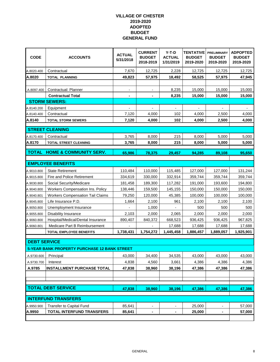| <b>CODE</b>         | <b>ACCOUNTS</b>                                     | <b>ACTUAL</b><br>5/31/2018 | <b>CURRENT</b><br><b>BUDGET</b><br>2018-2019 | $Y-T-D$<br><b>ACTUAL</b><br>1/31/2019 | TENTATIVE<br><b>BUDGET</b><br>2019-2020 | <b>PRELIMINARY</b><br><b>BUDGET</b><br>2019-2020 | <b>ADPOPTED</b><br><b>BUDGET</b><br>2019-2020 |
|---------------------|-----------------------------------------------------|----------------------------|----------------------------------------------|---------------------------------------|-----------------------------------------|--------------------------------------------------|-----------------------------------------------|
| A.8020.400          | Contractual                                         | 7,670                      | 12,725                                       | 2,228                                 | 12,725                                  | 12,725                                           | 12,725                                        |
| A.8020              | <b>TOTAL PLANNING</b>                               | 49,823                     | 57,975                                       | 18,492                                | 58,525                                  | 57,975                                           | 47,945                                        |
|                     |                                                     |                            |                                              |                                       |                                         |                                                  |                                               |
| A.8097.400          | Contractual: Planner                                | $\overline{\phantom{a}}$   | $\overline{\phantom{a}}$                     | 8,235                                 | 15,000                                  | 15,000                                           | 15,000                                        |
|                     | <b>Contractual Total</b>                            | ۰                          |                                              | 8,235                                 | 15,000                                  | 15,000                                           | 15,000                                        |
|                     | <b>STORM SEWERS:</b>                                |                            |                                              |                                       |                                         |                                                  |                                               |
| A.8140.200          | Equipment                                           |                            |                                              | $\overline{\phantom{a}}$              |                                         |                                                  |                                               |
| A.8140.400          | Contractual                                         | 7,120                      | 4,000                                        | 102                                   | 4,000                                   | 2,500                                            | 4,000                                         |
| A.8140              | <b>TOTAL STORM SEWERS</b>                           | 7,120                      | 4,000                                        | 102                                   | 4,000                                   | 2,500                                            | 4,000                                         |
|                     | <b>STREET CLEANING</b>                              |                            |                                              |                                       |                                         |                                                  |                                               |
| A.8170.400          | Contractual                                         | 3,765                      | 8,000                                        | 215                                   | 8,000                                   | 5,000                                            | 5,000                                         |
| A.8170              | <b>TOTAL STREET CLEANING</b>                        | 3,765                      | 8,000                                        | 215                                   | 8,000                                   | 5,000                                            | 5,000                                         |
|                     |                                                     |                            |                                              |                                       |                                         |                                                  |                                               |
| <b>TOTAL</b>        | <b>HOME &amp; COMMUNITY SERV.</b>                   | 65,986                     | 78,375                                       | 29,457                                | 94,285                                  | 89,108                                           | 95,650                                        |
|                     |                                                     |                            |                                              |                                       |                                         |                                                  |                                               |
|                     | <b>EMPLOYEE BENEFITS</b>                            |                            |                                              |                                       |                                         |                                                  |                                               |
| A.9010.800          | <b>State Retirement</b>                             | 110,484                    | 110,000                                      | 115,485                               | 127,000                                 | 127,000                                          | 131,244                                       |
| A.9015.800          | Fire and Police Retirement                          | 334,619                    | 330,000                                      | 332,914                               | 359,744                                 | 359,744                                          | 359,744                                       |
| A.9030.800          | Social Security/Medicare                            | 181,458                    | 189,300                                      | 117,282                               | 191,000                                 | 193,600                                          | 194,800                                       |
| A.9040.800          | Workers Compensation Ins. Policy                    | 138,446                    | 159,500                                      | 145,155                               | 150,000                                 | 150,000                                          | 150,000                                       |
| A.9040.801          | <b>Workers Compensation Tail Claims</b>             | 79,250                     | 120,000                                      | 45,385                                | 100,000                                 | 100,000                                          | 100,000                                       |
| A.9045.800          | Life Insurance P.D.                                 | 1,664                      | 2,100                                        | 961                                   | 2,100                                   | 2,100                                            | 2,100                                         |
| A.9050.800          | Unemployment Insurance                              |                            | 1,000                                        | $\overline{\phantom{a}}$              | 500                                     | 500                                              | 500                                           |
| A.9055.800          | Disability Insurance                                | 2,103                      | 2,000                                        | 2,065                                 | 2,000                                   | 2,000                                            | 2,000                                         |
| A.9060.800          | Hospital/Medical/Dental Insurance                   | 890,407                    | 840,372                                      | 668,523                               | 936,425                                 | 936,425                                          | 967,825                                       |
| A.9060.801          | Medicare Part B Reimbursement                       |                            |                                              | 17,688                                | 17,688                                  | 17,688                                           | 17,688                                        |
|                     | <b>TOTAL EMPLOYEE BENEFITS</b>                      | 1,738,431                  | 1,754,272                                    | 1,445,458                             | 1,886,457                               | 1,889,057                                        | 1,925,901                                     |
| <b>DEBT SERVICE</b> |                                                     |                            |                                              |                                       |                                         |                                                  |                                               |
|                     | <b>5-YEAR BANK PROPERTY PURCHASE 12 BANK STREET</b> |                            |                                              |                                       |                                         |                                                  |                                               |
| A.9730.600          | Principal                                           | 43,000                     | 34,400                                       | 34,535                                | 43,000                                  | 43,000                                           | 43,000                                        |
| A.9730.700          | Interest                                            | 4,838                      | 4,560                                        | 3,661                                 | 4,386                                   | 4,386                                            | 4,386                                         |
| A.9785              | <b>INSTALLMENT PURCHASE TOTAL</b>                   | 47,838                     | 38,960                                       | 38,196                                | 47,386                                  | 47,386                                           | 47,386                                        |
|                     |                                                     |                            |                                              |                                       |                                         |                                                  |                                               |
|                     |                                                     |                            |                                              |                                       |                                         |                                                  |                                               |
|                     | <b>TOTAL DEBT SERVICE</b>                           |                            |                                              |                                       |                                         |                                                  |                                               |
|                     |                                                     | 47,838                     | 38,960                                       | 38,196                                | 47,386                                  | 47,386                                           | 47,386                                        |
|                     | <b>INTERFUND TRANSFERS</b>                          |                            |                                              |                                       |                                         |                                                  |                                               |
| A.9950.900          | <b>Transfer to Capital Fund</b>                     | 85,641                     | $\blacksquare$                               | $\blacksquare$                        | 25,000                                  | $\blacksquare$                                   | 57,000                                        |
| A.9950              | <b>TOTAL INTERFUND TRANSFERS</b>                    | 85,641                     |                                              | ä,                                    | 25,000                                  |                                                  | 57,000                                        |
|                     |                                                     |                            |                                              |                                       |                                         |                                                  |                                               |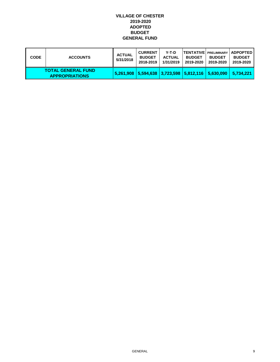| <b>CODE</b> | <b>ACCOUNTS</b>                                    | <b>ACTUAL</b><br>5/31/2018 | <b>CURRENT</b><br><b>BUDGET</b><br>2018-2019 | Y-T-D<br><b>ACTUAL</b><br>1/31/2019 | <b>BUDGET</b><br>2019-2020 | <b>BUDGET</b><br>2019-2020 | <b>TENTATIVE PRELIMINARY   ADPOPTED  </b><br><b>BUDGET</b><br>2019-2020 |
|-------------|----------------------------------------------------|----------------------------|----------------------------------------------|-------------------------------------|----------------------------|----------------------------|-------------------------------------------------------------------------|
|             | <b>TOTAL GENERAL FUND</b><br><b>APPROPRIATIONS</b> |                            |                                              |                                     |                            |                            | $ 5,261,908 5,594,638 3,723,598 5,812,116 5,630,090 5,734,221$          |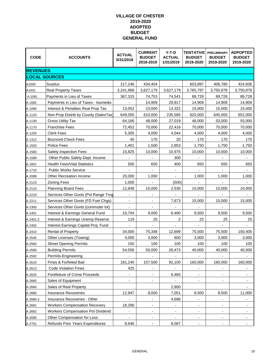| <b>CODE</b>          | <b>ACCOUNTS</b>                          | <b>ACTUAL</b><br>5/31/2018 | <b>CURRENT</b><br><b>BUDGET</b><br>2018-2019 | $Y-T-D$<br><b>ACTUAL</b><br>1/31/2019 | <b>TENTATIVE</b><br><b>BUDGET</b><br>2019-2020 | <b>PRELIMINARY</b><br><b>BUDGET</b><br>2019-2020 | <b>ADPOPTED</b><br><b>BUDGET</b><br>2019-2020 |
|----------------------|------------------------------------------|----------------------------|----------------------------------------------|---------------------------------------|------------------------------------------------|--------------------------------------------------|-----------------------------------------------|
| <b>REVENUES</b>      |                                          |                            |                                              |                                       |                                                |                                                  |                                               |
| <b>LOCAL SOURCES</b> |                                          |                            |                                              |                                       |                                                |                                                  |                                               |
| A1000                | Surplus                                  | 217,246                    | 434,404                                      |                                       | 603,897                                        | 406,780                                          | 424,506                                       |
| A1001                | <b>Real Property Taxes</b>               | 3,241,968                  | 3,627,179                                    | 3,627,179                             | 3,765,787                                      | 3,750,878                                        | 3,750,878                                     |
| A.1081               | Payments in Lieu of Taxes                | 367,315                    | 74,753                                       | 74,541                                | 89,728                                         | 89,728                                           | 89,728                                        |
| A.1082               | Payments in Lieu of Taxes - Isomedix     |                            | 14,909                                       | 29,817                                | 14,909                                         | 14,909                                           | 14,909                                        |
| A.1090               | Interest & Penalties Real Prop Tax       | 13,052                     | 23,000                                       | 13,322                                | 15,000                                         | 15,000                                           | 15,000                                        |
| A.1120               | Non Prop Distrib by County (SalesTax)    | 649,055                    | 610,000                                      | 235,585                               | 620,000                                        | 645,000                                          | 652,000                                       |
| A.1130               | <b>Gross Utility Tax</b>                 | 64,166                     | 48,000                                       | 27,019                                | 48,000                                         | 53,000                                           | 55,000                                        |
| A.1170               | <b>Franchise Fees</b>                    | 72,452                     | 70,000                                       | 22,416                                | 70,000                                         | 70,000                                           | 70,000                                        |
| A.1255               | <b>Clerk Fees</b>                        | 5,305                      | 4,000                                        | 4,044                                 | 4,000                                          | 4,000                                            | 4,000                                         |
| A.1312               | <b>Bounced Check Fees</b>                | 40                         | 170                                          | 20                                    | 170                                            | 170                                              | 170                                           |
| A.1520               | <b>Police Fees</b>                       | 1,401                      | 1,500                                        | 2,853                                 | 1,750                                          | 1,750                                            | 1,750                                         |
| A.1560               | Safety Inspection Fees                   | 15,825                     | 10,000                                       | 10,975                                | 10,000                                         | 10,000                                           | 10,000                                        |
| A.1589               | Other Public Safety Dept. Income         |                            |                                              | 300                                   |                                                |                                                  |                                               |
| A.1601               | <b>Health Fees/Vital Statistics</b>      | 500                        | 650                                          | 400                                   | 650                                            | 650                                              | 650                                           |
| A.1710               | <b>Public Works Service</b>              |                            |                                              | $\overline{\phantom{a}}$              |                                                |                                                  |                                               |
| A.2089               | Other Recreation Income                  | 20,000                     | 1,000                                        |                                       | 1,000                                          | 1,000                                            | 1,000                                         |
| A.2110               | <b>Zoning Fees</b>                       | 1,000                      |                                              | (500)                                 |                                                |                                                  |                                               |
| A.2115               | <b>Planning Board Fees</b>               | 12,848                     | 15,000                                       | 2,530                                 | 10,000                                         | 10,000                                           | 10,000                                        |
| A.2210               | Services Other Govts (Pol Range Trng     |                            |                                              |                                       |                                                |                                                  |                                               |
| A.2211               | Services Other Govts (FD Fuel Chgs)      |                            | $\qquad \qquad \blacksquare$                 | 7,673                                 | 15,000                                         | 15,000                                           | 15,000                                        |
| A.2300               | Services Other Govts (commuter lot)      |                            |                                              |                                       |                                                |                                                  |                                               |
| A.2401               | Interest & Earnings General Fund         | 10,704                     | 9,000                                        | 6,490                                 | 9,500                                          | 9,500                                            | 9,500                                         |
| A.2401.5             | Interest & Earnings Unemp.Reserve        | 119                        | 25                                           | 2                                     | 25                                             | 25                                               | 25                                            |
| A.2402               | Interest Earnings Capital Proj. Fund     |                            |                                              |                                       |                                                |                                                  |                                               |
| A.2410               | <b>Rental of Property</b>                | 34,000                     | 75,348                                       | 12,699                                | 75,500                                         | 75,500                                           | 150,405                                       |
| A.2545               | Other Licenses (Towing)                  | 4,000                      | 3,000                                        | 600                                   | 3,000                                          | 3,000                                            | 3,000                                         |
| A.2560               | <b>Street Opening Permits</b>            | 150                        | 100                                          | 100                                   | 100                                            | 100                                              | 100                                           |
| A.2590               | <b>Building Permits</b>                  | 54,556                     | 50,000                                       | 26,473                                | 40,000                                         | 40,000                                           | 40,000                                        |
| A.2592               | Permits-Engineering                      |                            |                                              |                                       |                                                |                                                  |                                               |
| A.2610               | Fines & Forfeited Bail                   | 181,240                    | 157,500                                      | 92,100                                | 160,000                                        | 160,000                                          | 160,000                                       |
| A.2613               | <b>Code Violation Fines</b>              | 425                        | $\overline{\phantom{a}}$                     |                                       | -                                              |                                                  |                                               |
| A.2625               | Forefeiture of Crime Proceeds            |                            |                                              | 9,465                                 | $\overline{\phantom{a}}$                       |                                                  |                                               |
| A.2665               | Sales of Equipment                       | $\overline{\phantom{0}}$   | $\overline{\phantom{a}}$                     |                                       |                                                | $\overline{\phantom{0}}$                         |                                               |
| A.2660               | Sales of Real Property                   |                            |                                              | 2,800                                 |                                                |                                                  |                                               |
| A.2680               | <b>Insurance Recoveries</b>              | 12,947                     | 8,000                                        | 7,051                                 | 8,500                                          | 8,500                                            | 11,000                                        |
| A.2680.3             | Insurance Recoveries - Other             |                            |                                              | 4,696                                 |                                                |                                                  |                                               |
| A.2681               | <b>Workers Compensation Recovery</b>     | 18,290                     | $\overline{\phantom{a}}$                     | $\overline{\phantom{a}}$              |                                                |                                                  |                                               |
| A.2682               | <b>Workers Compensation Pol Dividend</b> |                            | $\overline{a}$                               | $\overline{a}$                        | $\overline{\phantom{0}}$                       | -                                                |                                               |
| A.2690               | Other Compensation for Loss              |                            | $\overline{\phantom{a}}$                     | $\blacksquare$                        | $\overline{\phantom{a}}$                       | -                                                | -                                             |
| A.2701               | Refunds Prior Years Expenditures         | 8,646                      |                                              | 8,587                                 |                                                |                                                  |                                               |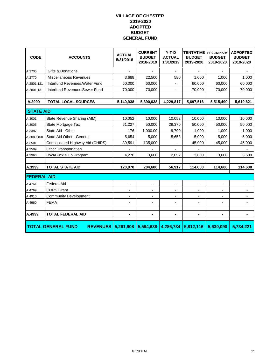| <b>CODE</b>        | <b>ACCOUNTS</b>                              | <b>ACTUAL</b><br>5/31/2018 | <b>CURRENT</b><br><b>BUDGET</b><br>2018-2019 | $Y-T-D$<br><b>ACTUAL</b><br>1/31/2019 | <b>TENTATIVE</b><br><b>BUDGET</b><br>2019-2020 | <b>PRELIMINARY</b><br><b>BUDGET</b><br>2019-2020 | <b>ADPOPTED</b><br><b>BUDGET</b><br>2019-2020 |
|--------------------|----------------------------------------------|----------------------------|----------------------------------------------|---------------------------------------|------------------------------------------------|--------------------------------------------------|-----------------------------------------------|
| A.2705             | <b>Gifts &amp; Donations</b>                 |                            |                                              |                                       |                                                |                                                  |                                               |
| A.2770             | <b>Miscellaneous Revenues</b>                | 3,688                      | 22,500                                       | 580                                   | 1,000                                          | 1,000                                            | 1,000                                         |
| A.2801.121         | Interfund Revenues. Water Fund               | 60,000                     | 60,000                                       |                                       | 60,000                                         | 60,000                                           | 60,000                                        |
| A.2801.131         | Interfund Revenues.Sewer Fund                | 70,000                     | 70,000                                       | $\blacksquare$                        | 70,000                                         | 70,000                                           | 70,000                                        |
| A.2999             | <b>TOTAL LOCAL SOURCES</b>                   | 5,140,938                  | 5,390,038                                    | 4,229,817                             | 5,697,516                                      | 5,515,490                                        | 5,619,621                                     |
| <b>STATE AID</b>   |                                              |                            |                                              |                                       |                                                |                                                  |                                               |
| A.3001             | State Revenue Sharing (AIM)                  | 10,052                     | 10,000                                       | 10,052                                | 10,000                                         | 10,000                                           | 10,000                                        |
| A.3005             | State Mortgage Tax                           | 61,227                     | 50,000                                       | 29,370                                | 50,000                                         | 50,000                                           | 50,000                                        |
| A.3387             | State Aid - Other                            | 176                        | 1,000.00                                     | 9,790                                 | 1,000                                          | 1,000                                            | 1,000                                         |
| A.3089.100         | State Aid Other - General                    | 5,654                      | 5,000                                        | 5,653                                 | 5,000                                          | 5,000                                            | 5,000                                         |
| A.3501             | Consolidated Highway Aid (CHIPS)             | 39,591                     | 135,000                                      |                                       | 45,000                                         | 45,000                                           | 45,000                                        |
| A.3589             | <b>Other Transportation</b>                  |                            |                                              |                                       |                                                |                                                  |                                               |
| A.3960             | DWI/Buckle Up Program                        | 4,270                      | 3.600                                        | 2,052                                 | 3,600                                          | 3.600                                            | 3,600                                         |
| A.3999             | <b>TOTAL STATE AID</b>                       | 120,970                    | 204,600                                      | 56,917                                | 114,600                                        | 114,600                                          | 114,600                                       |
| <b>FEDERAL AID</b> |                                              |                            |                                              |                                       |                                                |                                                  |                                               |
| A.4761             | <b>Federal Aid</b>                           |                            |                                              |                                       |                                                |                                                  | $\overline{\phantom{0}}$                      |
| A.4769             | <b>COPS Grant</b>                            |                            |                                              |                                       |                                                |                                                  |                                               |
| A.4910             | <b>Community Development</b>                 | $\overline{\phantom{0}}$   | $\overline{a}$                               | $\blacksquare$                        | $\overline{\phantom{0}}$                       | $\qquad \qquad \blacksquare$                     | $\overline{\phantom{a}}$                      |
| A.4960             | <b>FEMA</b>                                  | $\overline{a}$             | $\overline{\phantom{a}}$                     | $\blacksquare$                        | $\overline{a}$                                 | $\blacksquare$                                   |                                               |
| A.4999             | <b>TOTAL FEDERAL AID</b>                     | $\blacksquare$             | $\blacksquare$                               | $\blacksquare$                        | ٠                                              | ٠                                                |                                               |
|                    |                                              |                            |                                              |                                       |                                                |                                                  |                                               |
|                    | <b>TOTAL GENERAL FUND</b><br><b>REVENUES</b> | 5,261,908                  | 5,594,638                                    | 4,286,734                             | 5,812,116                                      | 5,630,090                                        | 5,734,221                                     |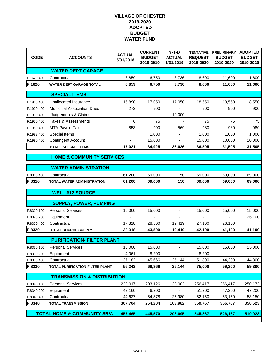| <b>CODE</b> | <b>ACCOUNTS</b>                        | <b>ACTUAL</b><br>5/31/2018 | <b>CURRENT</b><br><b>BUDGET</b><br>2018-2019 | $Y-T-D$<br><b>ACTUAL</b><br>1/31/2019 | <b>TENTATIVE</b><br><b>REQUEST</b><br>2019-2020 | <b>PRELIMINARY</b><br><b>BUDGET</b><br>2019-2020 | <b>ADOPTED</b><br><b>BUDGET</b><br>2019-2020 |  |  |  |
|-------------|----------------------------------------|----------------------------|----------------------------------------------|---------------------------------------|-------------------------------------------------|--------------------------------------------------|----------------------------------------------|--|--|--|
|             | <b>WATER DEPT GARAGE</b>               |                            |                                              |                                       |                                                 |                                                  |                                              |  |  |  |
| F.1620.400  | Contractual                            | 6,859                      | 6,750                                        | 3,736                                 | 8,600                                           | 11,600                                           | 11,600                                       |  |  |  |
| F.1620      | <b>WATER DEPT GARAGE TOTAL</b>         | 6,859                      | 6,750                                        | 3,736                                 | 8,600                                           | 11,600                                           | 11,600                                       |  |  |  |
|             | <b>SPECIAL ITEMS</b>                   |                            |                                              |                                       |                                                 |                                                  |                                              |  |  |  |
| F.1910.400  | Unallocated Insurance                  | 15,890                     | 17,050                                       | 17,050                                | 18,550                                          | 18,550                                           | 18,550                                       |  |  |  |
| F.1920.400  | <b>Municipal Association Dues</b>      | 272                        | 900                                          |                                       | 900                                             | 900                                              | 900                                          |  |  |  |
| F.1930.400  | Judgements & Claims                    |                            |                                              | 19,000                                |                                                 |                                                  |                                              |  |  |  |
| F.1950.400  | Taxes & Assessments                    | 6                          | 75                                           | 7                                     | 75                                              | 75                                               | 75                                           |  |  |  |
| F.1980.400  | <b>MTA Payroll Tax</b>                 | 853                        | 900                                          | 569                                   | 980                                             | 980                                              | 980                                          |  |  |  |
| F.1982.400  | Special Items                          |                            | 1,000                                        |                                       | 1,000                                           | 1,000                                            | 1,000                                        |  |  |  |
| F.1990.400  | <b>Contingent Account</b>              | ÷                          | 15,000                                       | $\overline{\phantom{0}}$              | 15,000                                          | 10,000                                           | 10,000                                       |  |  |  |
|             | <b>TOTAL SPECIAL ITEMS</b>             | 17,021                     | 34,925                                       | 36,626                                | 36,505                                          | 31,505                                           | 31,505                                       |  |  |  |
|             | <b>HOME &amp; COMMUNITY SERVICES</b>   |                            |                                              |                                       |                                                 |                                                  |                                              |  |  |  |
|             |                                        |                            |                                              |                                       |                                                 |                                                  |                                              |  |  |  |
|             | <b>WATER ADMINISTRATION</b>            |                            |                                              |                                       |                                                 |                                                  |                                              |  |  |  |
| F.8310.400  | Contractual                            | 61,200                     | 69,000                                       | 150                                   | 69,000                                          | 69,000                                           | 69,000                                       |  |  |  |
| F.8310      | TOTAL WATER ADMINISTRATION             | 61,200                     | 69,000                                       | 150                                   | 69,000                                          | 69,000                                           | 69,000                                       |  |  |  |
|             | <b>WELL #12 SOURCE</b>                 |                            |                                              |                                       |                                                 |                                                  |                                              |  |  |  |
|             |                                        |                            |                                              |                                       |                                                 |                                                  |                                              |  |  |  |
|             | <b>SUPPLY, POWER, PUMPING</b>          |                            |                                              |                                       |                                                 |                                                  |                                              |  |  |  |
| F.8320.100  | <b>Personal Services</b>               | 15,000                     | 15,000                                       |                                       | 15,000                                          | 15,000                                           | 15,000                                       |  |  |  |
| F.8320.200  | Equipment                              |                            |                                              |                                       |                                                 |                                                  | 26,100                                       |  |  |  |
| F.8320.400  | Contractual                            | 17,318                     | 28,500                                       | 19,419                                | 27,100                                          | 26,100                                           |                                              |  |  |  |
| F.8320      | <b>TOTAL SOURCE SUPPLY</b>             | 32,318                     | 43,500                                       | 19,419                                | 42,100                                          | 41,100                                           | 41,100                                       |  |  |  |
|             | <b>PURIFICATION- FILTER PLANT</b>      |                            |                                              |                                       |                                                 |                                                  |                                              |  |  |  |
| F.8330.100  | <b>Personal Services</b>               | 15,000                     | 15,000                                       |                                       | 15,000                                          | 15,000                                           | 15,000                                       |  |  |  |
| F.8330.200  | Equipment                              | 4,061                      | 8,200                                        | $\blacksquare$                        | 8,200                                           | $\overline{\phantom{a}}$                         | $\blacksquare$                               |  |  |  |
| F.8330.400  | Contractual                            | 37,182                     | 45,666                                       | 25,144                                | 51,800                                          | 44,300                                           | 44,300                                       |  |  |  |
| F.8330      | TOTAL PURIFICATION-FILTER PLANT        | 56,243                     | 68,866                                       | 25,144                                | 75,000                                          | 59,300                                           | 59,300                                       |  |  |  |
|             |                                        |                            |                                              |                                       |                                                 |                                                  |                                              |  |  |  |
|             | <b>TRANSMISSION &amp; DISTRIBUTION</b> |                            |                                              |                                       |                                                 |                                                  |                                              |  |  |  |
| F.8340.100  | <b>Personal Services</b>               | 220,917                    | 203,126                                      | 138,002                               | 256,417                                         | 256,417                                          | 250,173                                      |  |  |  |
| F.8340.200  | Equipment                              | 42,160                     | 6,200                                        |                                       | 51,200                                          | 47,200                                           | 47,200                                       |  |  |  |
| F.8340.400  | Contractual                            | 44,627                     | 54,878                                       | 25,980                                | 52,150                                          | 53,150                                           | 53,150                                       |  |  |  |
| F.8340      | <b>TOTAL TRANSMISSION</b>              | 307,704                    | 264,204                                      | 163,982                               | 359,767                                         | 356,767                                          | 350,523                                      |  |  |  |
|             | <b>TOTAL HOME &amp; COMMUNITY SRV.</b> | 457,465                    | 445,570                                      | 208,695                               | 545,867                                         | 526,167                                          | 519,923                                      |  |  |  |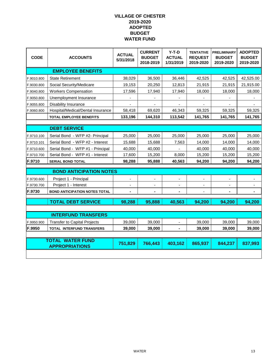| <b>CODE</b> | <b>ACCOUNTS</b>                                  | <b>ACTUAL</b><br>5/31/2018   | <b>CURRENT</b><br><b>BUDGET</b><br>2018-2019 | $Y-T-D$<br><b>ACTUAL</b><br>1/31/2019 | <b>TENTATIVE</b><br><b>REQUEST</b><br>2019-2020 | <b>PRELIMINARY</b><br><b>BUDGET</b><br>2019-2020 | <b>ADOPTED</b><br><b>BUDGET</b><br>2019-2020 |
|-------------|--------------------------------------------------|------------------------------|----------------------------------------------|---------------------------------------|-------------------------------------------------|--------------------------------------------------|----------------------------------------------|
|             | <b>EMPLOYEE BENEFITS</b>                         |                              |                                              |                                       |                                                 |                                                  |                                              |
| F.9010.800  | <b>State Retirement</b>                          | 38,029                       | 36,500                                       | 36,446                                | 42,525                                          | 42,525                                           | 42,525.00                                    |
| F.9030.800  | Social Security/Medicare                         | 19,153                       | 20,250                                       | 12,813                                | 21,915                                          | 21,915                                           | 21,915.00                                    |
| F.9040.800  | <b>Workers Compensation</b>                      | 17,596                       | 17,940                                       | 17,940                                | 18,000                                          | 18,000                                           | 18,000                                       |
| F.9050.800  | Unemployment Insurance                           |                              |                                              |                                       |                                                 |                                                  |                                              |
| F.9055.800  | Disability Insurance                             | $\blacksquare$               | $\overline{\phantom{a}}$                     | $\blacksquare$                        |                                                 | $\overline{\phantom{a}}$                         | $\blacksquare$                               |
| F.9060.800  | Hospital/Medical/Dental Insurance                | 58,418                       | 69,620                                       | 46,343                                | 59,325                                          | 59,325                                           | 59,325                                       |
|             | <b>TOTAL EMPLOYEE BENEFITS</b>                   | 133,196                      | 144,310                                      | 113,542                               | 141,765                                         | 141,765                                          | 141,765                                      |
|             |                                                  |                              |                                              |                                       |                                                 |                                                  |                                              |
|             | <b>DEBT SERVICE</b>                              |                              |                                              |                                       |                                                 |                                                  |                                              |
| F.9710.100  | Serial Bond - WFP #2- Principal                  | 25,000                       | 25,000                                       | 25,000                                | 25,000                                          | 25,000                                           | 25,000                                       |
| F.9710.101  | Serial Bond - WFP #2 - Interest                  | 15,688                       | 15,688                                       | 7,563                                 | 14,000                                          | 14,000                                           | 14,000                                       |
| F.9710.600  | Serial Bond - WFP #1 - Principal                 | 40,000                       | 40,000                                       |                                       | 40,000                                          | 40,000                                           | 40,000                                       |
| F.9710.700  | Serial Bond - WFP #1 - Interest                  | 17,600                       | 15,200                                       | 8,000                                 | 15,200                                          | 15,200                                           | 15,200                                       |
| F.9710      | <b>SERIAL BOND TOTAL</b>                         | 98,288                       | 95,888                                       | 40,563                                | 94,200                                          | 94,200                                           | 94,200                                       |
|             | <b>BOND ANTICIPATION NOTES</b>                   |                              |                                              |                                       |                                                 |                                                  |                                              |
| F.9730.600  | Project 1 - Principal                            | $\blacksquare$               |                                              |                                       |                                                 |                                                  |                                              |
| F.9730.700  | Project 1 - Interest                             |                              |                                              |                                       |                                                 |                                                  |                                              |
| F.9730      | <b>BOND ANTICIPATION NOTES TOTAL</b>             | $\qquad \qquad \blacksquare$ | $\overline{\phantom{a}}$                     | $\blacksquare$                        |                                                 |                                                  | $\blacksquare$                               |
|             |                                                  |                              |                                              |                                       |                                                 |                                                  |                                              |
|             | <b>TOTAL DEBT SERVICE</b>                        | 98,288                       | 95,888                                       | 40,563                                | 94,200                                          | 94,200                                           | 94,200                                       |
|             |                                                  |                              |                                              |                                       |                                                 |                                                  |                                              |
|             | <b>INTERFUND TRANSFERS</b>                       |                              |                                              |                                       |                                                 |                                                  |                                              |
| F.9950.900  | <b>Transfer to Capital Projects</b>              | 39,000                       | 39,000                                       |                                       | 39,000                                          | 39,000                                           | 39,000                                       |
| F.9950      | <b>TOTAL INTERFUND TRANSFERS</b>                 | 39,000                       | 39,000                                       |                                       | 39,000                                          | 39,000                                           | 39,000                                       |
|             |                                                  |                              |                                              |                                       |                                                 |                                                  |                                              |
|             | <b>TOTAL WATER FUND</b><br><b>APPROPRIATIONS</b> | 751,829                      | 766,443                                      | 403,162                               | 865,937                                         | 844,237                                          | 837,993                                      |
|             |                                                  |                              |                                              |                                       |                                                 |                                                  |                                              |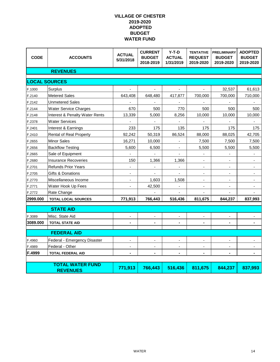| <b>CODE</b>             | <b>ACCOUNTS</b>                | <b>ACTUAL</b><br>5/31/2018   | <b>CURRENT</b><br><b>BUDGET</b><br>2018-2019 | $Y-T-D$<br><b>ACTUAL</b><br>1/31/2019 | <b>TENTATIVE</b><br><b>REQUEST</b><br>2019-2020 | <b>PRELIMINARY</b><br><b>BUDGET</b><br>2019-2020 | <b>ADOPTED</b><br><b>BUDGET</b><br>2019-2020 |
|-------------------------|--------------------------------|------------------------------|----------------------------------------------|---------------------------------------|-------------------------------------------------|--------------------------------------------------|----------------------------------------------|
|                         | <b>REVENUES</b>                |                              |                                              |                                       |                                                 |                                                  |                                              |
|                         | <b>LOCAL SOURCES</b>           |                              |                                              |                                       |                                                 |                                                  |                                              |
| F.1000                  | Surplus                        |                              |                                              |                                       |                                                 | 32,537                                           | 61,613                                       |
| F.2140                  | <b>Metered Sales</b>           | 643,408                      | 648,480                                      | 417,877                               | 700,000                                         | 700,000                                          | 710,000                                      |
| F.2142                  | <b>Unmetered Sales</b>         | $\qquad \qquad \blacksquare$ | $\blacksquare$                               | $\overline{\phantom{a}}$              | $\overline{\phantom{a}}$                        | $\blacksquare$                                   | $\blacksquare$                               |
| F.2144                  | <b>Water Service Charges</b>   | 670                          | 500                                          | 770                                   | 500                                             | 500                                              | 500                                          |
| F.2148                  | Interest & Penalty Water Rents | 13,339                       | 5,000                                        | 8,256                                 | 10,000                                          | 10,000                                           | 10,000                                       |
| F.2378                  | <b>Water Services</b>          |                              |                                              |                                       |                                                 |                                                  |                                              |
| F.2401                  | Interest & Earnings            | 233                          | 175                                          | 135                                   | 175                                             | 175                                              | 175                                          |
| F.2410                  | Rental of Real Property        | 92,242                       | 50,319                                       | 86,524                                | 88,000                                          | 88,025                                           | 42,705                                       |
| F.2655                  | <b>Minor Sales</b>             | 16,271                       | 10,000                                       |                                       | 7,500                                           | 7,500                                            | 7,500                                        |
| F.2656                  | <b>Backflow Testing</b>        | 5,600                        | 6,500                                        | $\overline{\phantom{a}}$              | 5,500                                           | 5,500                                            | 5,500                                        |
| F.2665                  | Sale of Equipment              |                              |                                              | $\overline{a}$                        | $\blacksquare$                                  | $\overline{a}$                                   | $\blacksquare$                               |
| F.2680                  | Insurance Recoveries           | 150                          | 1,366                                        | 1,366                                 | ä,                                              |                                                  |                                              |
| F.2701                  | <b>Refunds Prior Years</b>     |                              |                                              |                                       |                                                 |                                                  |                                              |
| F.2705                  | Gifts & Donations              | $\overline{\phantom{a}}$     |                                              |                                       | $\overline{\phantom{a}}$                        | $\blacksquare$                                   |                                              |
| F.2770                  | Miscellaneous Income           | ä,                           | 1,603                                        | 1,508                                 | $\blacksquare$                                  |                                                  |                                              |
| F.2771                  | Water Hook Up Fees             |                              | 42,500                                       |                                       | ä,                                              |                                                  |                                              |
| F.2772                  | Rate Change                    |                              |                                              |                                       |                                                 |                                                  |                                              |
| 2999.000                | <b>TOTAL LOCAL SOURCES</b>     | 771,913                      | 766,443                                      | 516,436                               | 811,675                                         | 844,237                                          | 837,993                                      |
|                         | <b>STATE AID</b>               |                              |                                              |                                       |                                                 |                                                  |                                              |
| F.3089                  | Misc. State Aid                |                              |                                              |                                       |                                                 |                                                  |                                              |
| 3089.000                | <b>TOTAL STATE AID</b>         |                              |                                              |                                       |                                                 |                                                  |                                              |
|                         |                                |                              |                                              |                                       |                                                 |                                                  |                                              |
|                         | <b>FEDERAL AID</b>             |                              |                                              |                                       |                                                 |                                                  |                                              |
| F.4960                  | Federal - Emergency Disaster   | $\overline{\phantom{a}}$     |                                              |                                       | $\overline{\phantom{a}}$                        |                                                  |                                              |
| F.4989                  | Federal - Other                |                              |                                              |                                       | $\blacksquare$                                  |                                                  |                                              |
| F.4999                  | <b>TOTAL FEDERAL AID</b>       |                              |                                              |                                       |                                                 |                                                  |                                              |
| <b>TOTAL WATER FUND</b> |                                |                              |                                              |                                       |                                                 |                                                  |                                              |
| <b>REVENUES</b>         |                                | 771,913                      | 766,443                                      | 516,436                               | 811,675                                         | 844,237                                          | 837,993                                      |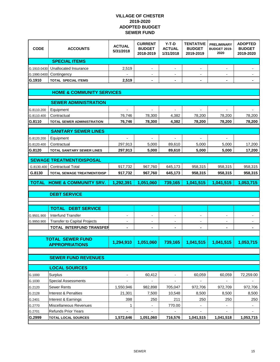| <b>CODE</b>                          | <b>ACCOUNTS</b>                                          | <b>ACTUAL</b><br>5/31/2018   | <b>CURRENT</b><br><b>BUDGET</b><br>2018-2019 | $Y-T-D$<br><b>ACTUAL</b><br>1/31/2018 | <b>TENTATIVE</b><br><b>BUDGET</b><br>2019-2019 | <b>PRELIMINARY</b><br><b>BUDGET 2019-</b><br>2020 | <b>ADOPTED</b><br><b>BUDGET</b><br>2019-2020 |  |  |
|--------------------------------------|----------------------------------------------------------|------------------------------|----------------------------------------------|---------------------------------------|------------------------------------------------|---------------------------------------------------|----------------------------------------------|--|--|
|                                      | <b>SPECIAL ITEMS</b>                                     |                              |                                              |                                       |                                                |                                                   |                                              |  |  |
| G.1910.0430<br>G.1990.0400           | Unallocated Insurance<br>Contingency                     | 2,519                        | $\overline{\phantom{0}}$                     | -                                     |                                                |                                                   |                                              |  |  |
| G.1910                               | <b>TOTAL SPECIAL ITEMS</b>                               | 2,519                        | $\blacksquare$                               | $\blacksquare$                        | $\blacksquare$                                 | $\blacksquare$                                    | ۰                                            |  |  |
|                                      |                                                          |                              |                                              |                                       |                                                |                                                   |                                              |  |  |
| <b>HOME &amp; COMMUNITY SERVICES</b> |                                                          |                              |                                              |                                       |                                                |                                                   |                                              |  |  |
|                                      | <b>SEWER ADMINISTRATION</b>                              |                              |                                              |                                       |                                                |                                                   |                                              |  |  |
| G.8110.200                           | Equipment                                                |                              |                                              |                                       |                                                |                                                   |                                              |  |  |
| G.8110.400                           | Contractual                                              | 76,746                       | 78,300                                       | 4,382                                 | 78,200                                         | 78,200                                            | 78,200                                       |  |  |
| G.8110                               | TOTAL SEWER ADMINISTRATION                               | 76,746                       | 78,300                                       | 4,382                                 | 78,200                                         | 78,200                                            | 78,200                                       |  |  |
|                                      | <b>SANITARY SEWER LINES</b>                              |                              |                                              |                                       |                                                |                                                   |                                              |  |  |
| G.8120.200                           | Equipment                                                | $\overline{a}$               | $\blacksquare$                               | $\overline{a}$                        | $\overline{\phantom{a}}$                       | $\blacksquare$                                    |                                              |  |  |
| G.8120.400                           | Contractual                                              | 297,913                      | 5,000                                        | 89,610                                | 5,000                                          | 5,000                                             | 17,200                                       |  |  |
| G.8120                               | <b>TOTAL SANITARY SEWER LINES</b>                        | 297,913                      | 5,000                                        | 89,610                                | 5,000                                          | 5,000                                             | 17,200                                       |  |  |
|                                      | <b>SEWAGE TREATMENT/DISPOSAL</b>                         |                              |                                              |                                       |                                                |                                                   |                                              |  |  |
| G.8130.400                           | <b>Contractual Total</b>                                 | 917,732                      | 967,760                                      | 645,173                               | 958,315                                        | 958,315                                           | 958,315                                      |  |  |
| G.8130                               | <b>TOTAL SEWAGE TREATMENT/DISP</b>                       | 917,732                      | 967,760                                      | 645,173                               | 958,315                                        | 958,315                                           | 958,315                                      |  |  |
| <b>TOTAL</b>                         | <b>HOME &amp; COMMUNITY SRV.</b>                         | 1,292,391                    | 1,051,060                                    | 739,165                               | 1,041,515                                      | 1,041,515                                         | 1,053,715                                    |  |  |
|                                      |                                                          |                              |                                              |                                       |                                                |                                                   |                                              |  |  |
|                                      | <b>DEBT SERVICE</b>                                      |                              |                                              |                                       |                                                |                                                   |                                              |  |  |
|                                      |                                                          |                              |                                              |                                       |                                                |                                                   |                                              |  |  |
|                                      | <b>TOTAL</b><br><b>DEBT SERVICE</b>                      |                              |                                              |                                       |                                                |                                                   |                                              |  |  |
| G.9501.900                           | Interfund Transfer                                       |                              |                                              |                                       |                                                |                                                   |                                              |  |  |
| G.9950.900                           | Transfer to Capital Projects                             |                              |                                              | -                                     |                                                | $\overline{\phantom{a}}$                          |                                              |  |  |
|                                      | TOTAL INTERFUND TRANSFER                                 |                              |                                              |                                       |                                                |                                                   |                                              |  |  |
|                                      |                                                          |                              |                                              |                                       |                                                |                                                   |                                              |  |  |
|                                      | <b>TOTAL SEWER FUND</b>                                  | 1,294,910                    |                                              |                                       |                                                |                                                   |                                              |  |  |
|                                      |                                                          |                              | 1,051,060                                    | 739.165                               | 1,041,515                                      | 1,041,515                                         | 1,053,715                                    |  |  |
|                                      | <b>APPROPRIATIONS</b>                                    |                              |                                              |                                       |                                                |                                                   |                                              |  |  |
|                                      | <b>SEWER FUND REVENUES</b>                               |                              |                                              |                                       |                                                |                                                   |                                              |  |  |
|                                      | <b>LOCAL SOURCES</b>                                     |                              |                                              |                                       |                                                |                                                   |                                              |  |  |
| G.1000                               | Surplus                                                  | $\qquad \qquad \blacksquare$ | 60,412                                       | $\blacksquare$                        | 60,059                                         | 60,059                                            | 72,259.00                                    |  |  |
| G.1030                               | <b>Special Assessments</b>                               |                              | $\overline{\phantom{a}}$                     |                                       |                                                | $\frac{1}{2}$                                     |                                              |  |  |
| G.2120                               | Sewer Rents                                              | 1,550,946                    | 982,898                                      | 705,047                               | 972,706                                        | 972,709                                           | 972,706                                      |  |  |
| G.2128                               | Interest & Penalties                                     | 21,301                       | 7,500                                        | 10,548                                | 8,500                                          | 8,500                                             | 8,500                                        |  |  |
| G.2401                               | Interest & Earnings                                      | 398                          | 250                                          | 211                                   | 250                                            | 250                                               | 250                                          |  |  |
| G.2770                               | Miscellaneous Revenues                                   | 1                            | $\overline{\phantom{a}}$                     | 770.00                                | $\blacksquare$                                 | $\overline{\phantom{a}}$                          | $\overline{\phantom{a}}$                     |  |  |
| G.2701<br>G.2999                     | <b>Refunds Prior Years</b><br><b>TOTAL LOCAL SOURCES</b> | 1,572,646                    | 1,051,060                                    | 716,576                               | 1,041,515                                      | 1,041,518                                         | 1,053,715                                    |  |  |